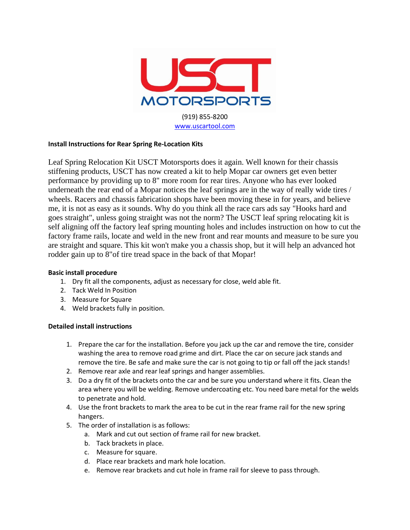

## **Install Instructions for Rear Spring Re-Location Kits**

Leaf Spring Relocation Kit USCT Motorsports does it again. Well known for their chassis stiffening products, USCT has now created a kit to help Mopar car owners get even better performance by providing up to 8" more room for rear tires. Anyone who has ever looked underneath the rear end of a Mopar notices the leaf springs are in the way of really wide tires / wheels. Racers and chassis fabrication shops have been moving these in for years, and believe me, it is not as easy as it sounds. Why do you think all the race cars ads say "Hooks hard and goes straight", unless going straight was not the norm? The USCT leaf spring relocating kit is self aligning off the factory leaf spring mounting holes and includes instruction on how to cut the factory frame rails, locate and weld in the new front and rear mounts and measure to be sure you are straight and square. This kit won't make you a chassis shop, but it will help an advanced hot rodder gain up to 8"of tire tread space in the back of that Mopar!

## **Basic install procedure**

- 1. Dry fit all the components, adjust as necessary for close, weld able fit.
- 2. Tack Weld In Position
- 3. Measure for Square
- 4. Weld brackets fully in position.

## **Detailed install instructions**

- 1. Prepare the car for the installation. Before you jack up the car and remove the tire, consider washing the area to remove road grime and dirt. Place the car on secure jack stands and remove the tire. Be safe and make sure the car is not going to tip or fall off the jack stands!
- 2. Remove rear axle and rear leaf springs and hanger assemblies.
- 3. Do a dry fit of the brackets onto the car and be sure you understand where it fits. Clean the area where you will be welding. Remove undercoating etc. You need bare metal for the welds to penetrate and hold.
- 4. Use the front brackets to mark the area to be cut in the rear frame rail for the new spring hangers.
- 5. The order of installation is as follows:
	- a. Mark and cut out section of frame rail for new bracket.
	- b. Tack brackets in place.
	- c. Measure for square.
	- d. Place rear brackets and mark hole location.
	- e. Remove rear brackets and cut hole in frame rail for sleeve to pass through.